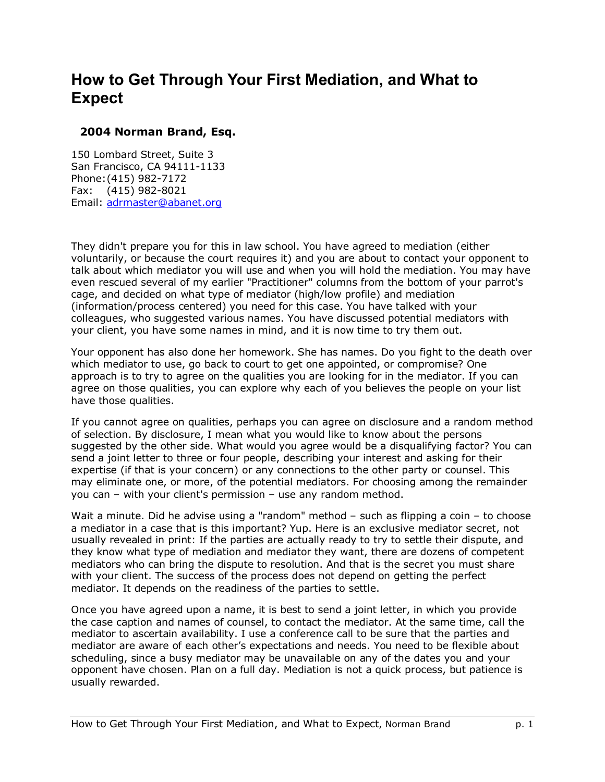## **How to Get Through Your First Mediation, and What to Expect**

## **2004 Norman Brand, Esq.**

150 Lombard Street, Suite 3 San Francisco, CA 94111-1133 Phone: (415) 982-7172 Fax: (415) 982-8021 Email: adrmaster@abanet.org

They didn't prepare you for this in law school. You have agreed to mediation (either voluntarily, or because the court requires it) and you are about to contact your opponent to talk about which mediator you will use and when you will hold the mediation. You may have even rescued several of my earlier "Practitioner" columns from the bottom of your parrot's cage, and decided on what type of mediator (high/low profile) and mediation (information/process centered) you need for this case. You have talked with your colleagues, who suggested various names. You have discussed potential mediators with your client, you have some names in mind, and it is now time to try them out.

Your opponent has also done her homework. She has names. Do you fight to the death over which mediator to use, go back to court to get one appointed, or compromise? One approach is to try to agree on the qualities you are looking for in the mediator. If you can agree on those qualities, you can explore why each of you believes the people on your list have those qualities.

If you cannot agree on qualities, perhaps you can agree on disclosure and a random method of selection. By disclosure, I mean what you would like to know about the persons suggested by the other side. What would you agree would be a disqualifying factor? You can send a joint letter to three or four people, describing your interest and asking for their expertise (if that is your concern) or any connections to the other party or counsel. This may eliminate one, or more, of the potential mediators. For choosing among the remainder you can  $-$  with your client's permission  $-$  use any random method.

Wait a minute. Did he advise using a "random" method  $-$  such as flipping a coin  $-$  to choose a mediator in a case that is this important? Yup. Here is an exclusive mediator secret, not usually revealed in print: If the parties are actually ready to try to settle their dispute, and they know what type of mediation and mediator they want, there are dozens of competent mediators who can bring the dispute to resolution. And that is the secret you must share with your client. The success of the process does not depend on getting the perfect mediator. It depends on the readiness of the parties to settle.

Once you have agreed upon a name, it is best to send a joint letter, in which you provide the case caption and names of counsel, to contact the mediator. At the same time, call the mediator to ascertain availability. I use a conference call to be sure that the parties and mediator are aware of each otherís expectations and needs. You need to be flexible about scheduling, since a busy mediator may be unavailable on any of the dates you and your opponent have chosen. Plan on a full day. Mediation is not a quick process, but patience is usually rewarded.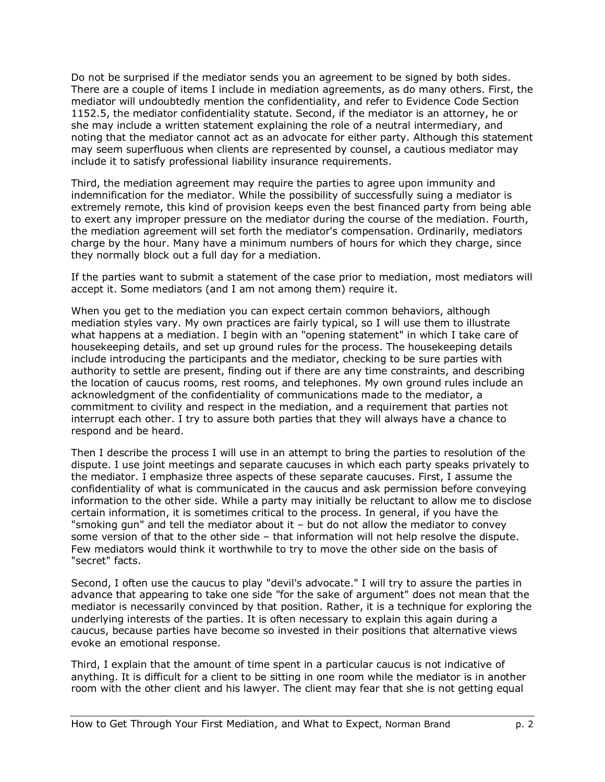Do not be surprised if the mediator sends you an agreement to be signed by both sides. There are a couple of items I include in mediation agreements, as do many others. First, the mediator will undoubtedly mention the confidentiality, and refer to Evidence Code Section 1152.5, the mediator confidentiality statute. Second, if the mediator is an attorney, he or she may include a written statement explaining the role of a neutral intermediary, and noting that the mediator cannot act as an advocate for either party. Although this statement may seem superfluous when clients are represented by counsel, a cautious mediator may include it to satisfy professional liability insurance requirements.

Third, the mediation agreement may require the parties to agree upon immunity and indemnification for the mediator. While the possibility of successfully suing a mediator is extremely remote, this kind of provision keeps even the best financed party from being able to exert any improper pressure on the mediator during the course of the mediation. Fourth, the mediation agreement will set forth the mediator's compensation. Ordinarily, mediators charge by the hour. Many have a minimum numbers of hours for which they charge, since they normally block out a full day for a mediation.

If the parties want to submit a statement of the case prior to mediation, most mediators will accept it. Some mediators (and I am not among them) require it.

When you get to the mediation you can expect certain common behaviors, although mediation styles vary. My own practices are fairly typical, so I will use them to illustrate what happens at a mediation. I begin with an "opening statement" in which I take care of housekeeping details, and set up ground rules for the process. The housekeeping details include introducing the participants and the mediator, checking to be sure parties with authority to settle are present, finding out if there are any time constraints, and describing the location of caucus rooms, rest rooms, and telephones. My own ground rules include an acknowledgment of the confidentiality of communications made to the mediator, a commitment to civility and respect in the mediation, and a requirement that parties not interrupt each other. I try to assure both parties that they will always have a chance to respond and be heard.

Then I describe the process I will use in an attempt to bring the parties to resolution of the dispute. I use joint meetings and separate caucuses in which each party speaks privately to the mediator. I emphasize three aspects of these separate caucuses. First, I assume the confidentiality of what is communicated in the caucus and ask permission before conveying information to the other side. While a party may initially be reluctant to allow me to disclose certain information, it is sometimes critical to the process. In general, if you have the "smoking gun" and tell the mediator about it  $-$  but do not allow the mediator to convey some version of that to the other side – that information will not help resolve the dispute. Few mediators would think it worthwhile to try to move the other side on the basis of "secret" facts.

Second, I often use the caucus to play "devil's advocate." I will try to assure the parties in advance that appearing to take one side "for the sake of argument" does not mean that the mediator is necessarily convinced by that position. Rather, it is a technique for exploring the underlying interests of the parties. It is often necessary to explain this again during a caucus, because parties have become so invested in their positions that alternative views evoke an emotional response.

Third, I explain that the amount of time spent in a particular caucus is not indicative of anything. It is difficult for a client to be sitting in one room while the mediator is in another room with the other client and his lawyer. The client may fear that she is not getting equal